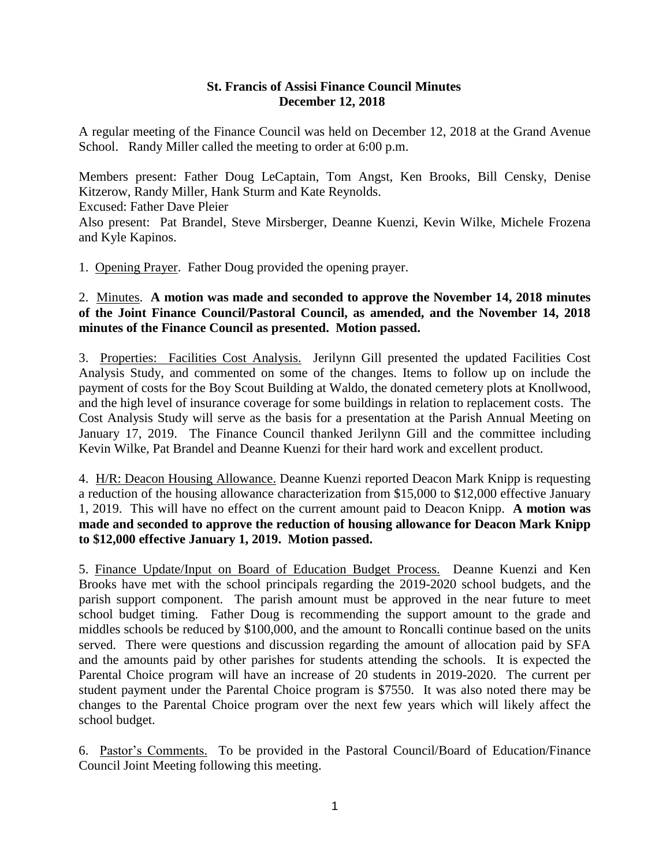## **St. Francis of Assisi Finance Council Minutes December 12, 2018**

A regular meeting of the Finance Council was held on December 12, 2018 at the Grand Avenue School. Randy Miller called the meeting to order at 6:00 p.m.

Members present: Father Doug LeCaptain, Tom Angst, Ken Brooks, Bill Censky, Denise Kitzerow, Randy Miller, Hank Sturm and Kate Reynolds. Excused: Father Dave Pleier Also present: Pat Brandel, Steve Mirsberger, Deanne Kuenzi, Kevin Wilke, Michele Frozena and Kyle Kapinos.

1. Opening Prayer. Father Doug provided the opening prayer.

## 2. Minutes. **A motion was made and seconded to approve the November 14, 2018 minutes of the Joint Finance Council/Pastoral Council, as amended, and the November 14, 2018 minutes of the Finance Council as presented. Motion passed.**

3. Properties: Facilities Cost Analysis. Jerilynn Gill presented the updated Facilities Cost Analysis Study, and commented on some of the changes. Items to follow up on include the payment of costs for the Boy Scout Building at Waldo, the donated cemetery plots at Knollwood, and the high level of insurance coverage for some buildings in relation to replacement costs. The Cost Analysis Study will serve as the basis for a presentation at the Parish Annual Meeting on January 17, 2019. The Finance Council thanked Jerilynn Gill and the committee including Kevin Wilke, Pat Brandel and Deanne Kuenzi for their hard work and excellent product.

4. H/R: Deacon Housing Allowance. Deanne Kuenzi reported Deacon Mark Knipp is requesting a reduction of the housing allowance characterization from \$15,000 to \$12,000 effective January 1, 2019. This will have no effect on the current amount paid to Deacon Knipp. **A motion was made and seconded to approve the reduction of housing allowance for Deacon Mark Knipp to \$12,000 effective January 1, 2019. Motion passed.** 

5. Finance Update/Input on Board of Education Budget Process. Deanne Kuenzi and Ken Brooks have met with the school principals regarding the 2019-2020 school budgets, and the parish support component. The parish amount must be approved in the near future to meet school budget timing. Father Doug is recommending the support amount to the grade and middles schools be reduced by \$100,000, and the amount to Roncalli continue based on the units served. There were questions and discussion regarding the amount of allocation paid by SFA and the amounts paid by other parishes for students attending the schools. It is expected the Parental Choice program will have an increase of 20 students in 2019-2020. The current per student payment under the Parental Choice program is \$7550. It was also noted there may be changes to the Parental Choice program over the next few years which will likely affect the school budget.

6. Pastor's Comments. To be provided in the Pastoral Council/Board of Education/Finance Council Joint Meeting following this meeting.